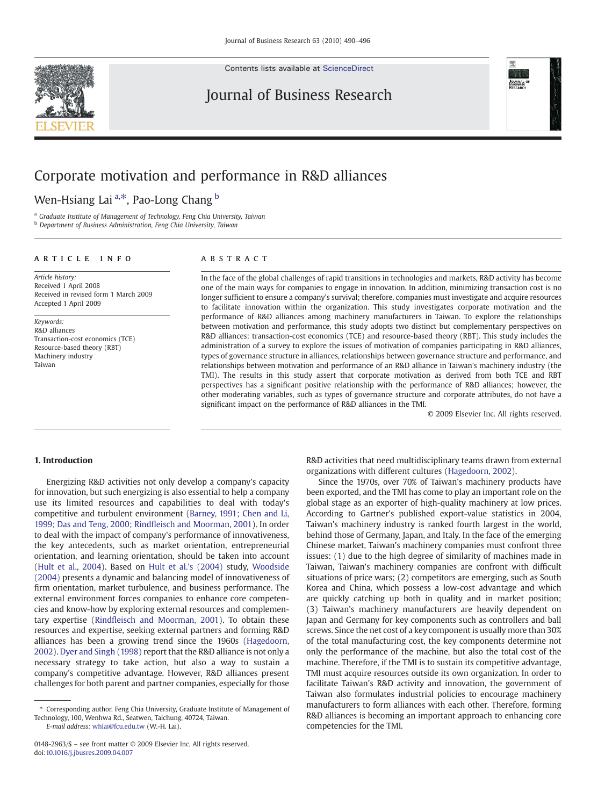Contents lists available at [ScienceDirect](http://www.sciencedirect.com/science/journal/01482963)





## Corporate motivation and performance in R&D alliances

Wen-Hsiang Lai <sup>a,\*</sup>, Pao-Long Chang <sup>b</sup>

<sup>a</sup> Graduate Institute of Management of Technology, Feng Chia University, Taiwan

**b** Department of Business Administration, Feng Chia University, Taiwan

### article info abstract

Article history: Received 1 April 2008 Received in revised form 1 March 2009 Accepted 1 April 2009

Keywords: R&D alliances Transaction-cost economics (TCE) Resource-based theory (RBT) Machinery industry Taiwan

In the face of the global challenges of rapid transitions in technologies and markets, R&D activity has become one of the main ways for companies to engage in innovation. In addition, minimizing transaction cost is no longer sufficient to ensure a company's survival; therefore, companies must investigate and acquire resources to facilitate innovation within the organization. This study investigates corporate motivation and the performance of R&D alliances among machinery manufacturers in Taiwan. To explore the relationships between motivation and performance, this study adopts two distinct but complementary perspectives on R&D alliances: transaction-cost economics (TCE) and resource-based theory (RBT). This study includes the administration of a survey to explore the issues of motivation of companies participating in R&D alliances, types of governance structure in alliances, relationships between governance structure and performance, and relationships between motivation and performance of an R&D alliance in Taiwan's machinery industry (the TMI). The results in this study assert that corporate motivation as derived from both TCE and RBT perspectives has a significant positive relationship with the performance of R&D alliances; however, the other moderating variables, such as types of governance structure and corporate attributes, do not have a significant impact on the performance of R&D alliances in the TMI.

© 2009 Elsevier Inc. All rights reserved.

### 1. Introduction

Energizing R&D activities not only develop a company's capacity for innovation, but such energizing is also essential to help a company use its limited resources and capabilities to deal with today's competitive and turbulent environment ([Barney, 1991; Chen and Li,](#page--1-0) [1999; Das and Teng, 2000; Rind](#page--1-0)fleisch and Moorman, 2001). In order to deal with the impact of company's performance of innovativeness, the key antecedents, such as market orientation, entrepreneurial orientation, and learning orientation, should be taken into account [\(Hult et al., 2004\)](#page--1-0). Based on [Hult et al.'s \(2004\)](#page--1-0) study, [Woodside](#page--1-0) [\(2004\)](#page--1-0) presents a dynamic and balancing model of innovativeness of firm orientation, market turbulence, and business performance. The external environment forces companies to enhance core competencies and know-how by exploring external resources and complementary expertise (Rindfl[eisch and Moorman, 2001\)](#page--1-0). To obtain these resources and expertise, seeking external partners and forming R&D alliances has been a growing trend since the 1960s ([Hagedoorn,](#page--1-0) [2002](#page--1-0)). [Dyer and Singh \(1998\)](#page--1-0) report that the R&D alliance is not only a necessary strategy to take action, but also a way to sustain a company's competitive advantage. However, R&D alliances present challenges for both parent and partner companies, especially for those

E-mail address: [whlai@fcu.edu.tw](mailto:whlai@fcu.edu.tw) (W.-H. Lai).

R&D activities that need multidisciplinary teams drawn from external organizations with different cultures [\(Hagedoorn, 2002\)](#page--1-0).

Since the 1970s, over 70% of Taiwan's machinery products have been exported, and the TMI has come to play an important role on the global stage as an exporter of high-quality machinery at low prices. According to Gartner's published export-value statistics in 2004, Taiwan's machinery industry is ranked fourth largest in the world, behind those of Germany, Japan, and Italy. In the face of the emerging Chinese market, Taiwan's machinery companies must confront three issues: (1) due to the high degree of similarity of machines made in Taiwan, Taiwan's machinery companies are confront with difficult situations of price wars; (2) competitors are emerging, such as South Korea and China, which possess a low-cost advantage and which are quickly catching up both in quality and in market position; (3) Taiwan's machinery manufacturers are heavily dependent on Japan and Germany for key components such as controllers and ball screws. Since the net cost of a key component is usually more than 30% of the total manufacturing cost, the key components determine not only the performance of the machine, but also the total cost of the machine. Therefore, if the TMI is to sustain its competitive advantage, TMI must acquire resources outside its own organization. In order to facilitate Taiwan's R&D activity and innovation, the government of Taiwan also formulates industrial policies to encourage machinery manufacturers to form alliances with each other. Therefore, forming R&D alliances is becoming an important approach to enhancing core competencies for the TMI.

<sup>⁎</sup> Corresponding author. Feng Chia University, Graduate Institute of Management of Technology, 100, Wenhwa Rd., Seatwen, Taichung, 40724, Taiwan.

<sup>0148-2963/\$</sup> – see front matter © 2009 Elsevier Inc. All rights reserved. doi[:10.1016/j.jbusres.2009.04.007](http://dx.doi.org/10.1016/j.jbusres.2009.04.007)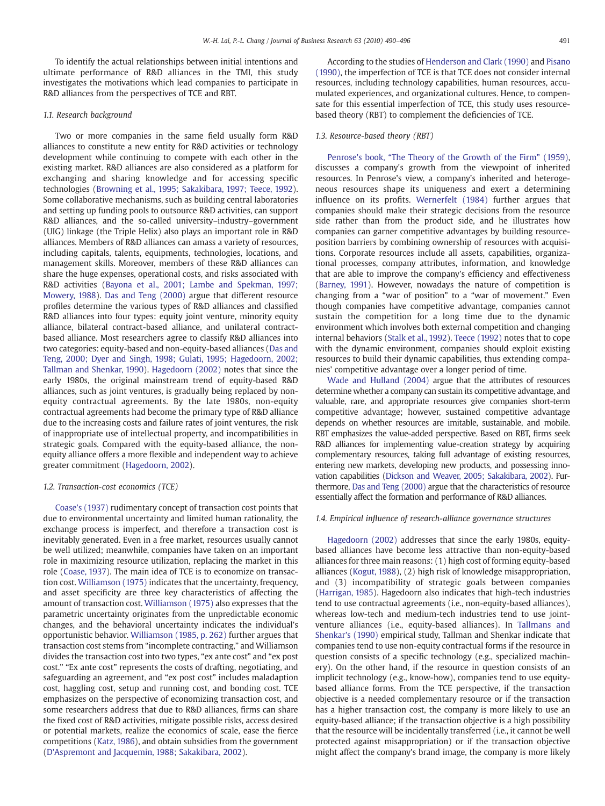To identify the actual relationships between initial intentions and ultimate performance of R&D alliances in the TMI, this study investigates the motivations which lead companies to participate in R&D alliances from the perspectives of TCE and RBT.

#### 1.1. Research background

Two or more companies in the same field usually form R&D alliances to constitute a new entity for R&D activities or technology development while continuing to compete with each other in the existing market. R&D alliances are also considered as a platform for exchanging and sharing knowledge and for accessing specific technologies ([Browning et al., 1995; Sakakibara, 1997; Teece, 1992](#page--1-0)). Some collaborative mechanisms, such as building central laboratories and setting up funding pools to outsource R&D activities, can support R&D alliances, and the so-called university–industry–government (UIG) linkage (the Triple Helix) also plays an important role in R&D alliances. Members of R&D alliances can amass a variety of resources, including capitals, talents, equipments, technologies, locations, and management skills. Moreover, members of these R&D alliances can share the huge expenses, operational costs, and risks associated with R&D activities ([Bayona et al., 2001; Lambe and Spekman, 1997;](#page--1-0) [Mowery, 1988\)](#page--1-0). [Das and Teng \(2000\)](#page--1-0) argue that different resource profiles determine the various types of R&D alliances and classified R&D alliances into four types: equity joint venture, minority equity alliance, bilateral contract-based alliance, and unilateral contractbased alliance. Most researchers agree to classify R&D alliances into two categories: equity-based and non-equity-based alliances [\(Das and](#page--1-0) [Teng, 2000; Dyer and Singh, 1998; Gulati, 1995; Hagedoorn, 2002;](#page--1-0) [Tallman and Shenkar, 1990](#page--1-0)). [Hagedoorn \(2002\)](#page--1-0) notes that since the early 1980s, the original mainstream trend of equity-based R&D alliances, such as joint ventures, is gradually being replaced by nonequity contractual agreements. By the late 1980s, non-equity contractual agreements had become the primary type of R&D alliance due to the increasing costs and failure rates of joint ventures, the risk of inappropriate use of intellectual property, and incompatibilities in strategic goals. Compared with the equity-based alliance, the nonequity alliance offers a more flexible and independent way to achieve greater commitment ([Hagedoorn, 2002](#page--1-0)).

#### 1.2. Transaction-cost economics (TCE)

[Coase's \(1937\)](#page--1-0) rudimentary concept of transaction cost points that due to environmental uncertainty and limited human rationality, the exchange process is imperfect, and therefore a transaction cost is inevitably generated. Even in a free market, resources usually cannot be well utilized; meanwhile, companies have taken on an important role in maximizing resource utilization, replacing the market in this role ([Coase, 1937\)](#page--1-0). The main idea of TCE is to economize on transaction cost. [Williamson \(1975\)](#page--1-0) indicates that the uncertainty, frequency, and asset specificity are three key characteristics of affecting the amount of transaction cost. [Williamson \(1975\)](#page--1-0) also expresses that the parametric uncertainty originates from the unpredictable economic changes, and the behavioral uncertainty indicates the individual's opportunistic behavior. [Williamson \(1985, p. 262\)](#page--1-0) further argues that transaction cost stems from "incomplete contracting," and Williamson divides the transaction cost into two types, "ex ante cost" and "ex post cost." "Ex ante cost" represents the costs of drafting, negotiating, and safeguarding an agreement, and "ex post cost" includes maladaption cost, haggling cost, setup and running cost, and bonding cost. TCE emphasizes on the perspective of economizing transaction cost, and some researchers address that due to R&D alliances, firms can share the fixed cost of R&D activities, mitigate possible risks, access desired or potential markets, realize the economics of scale, ease the fierce competitions ([Katz, 1986\)](#page--1-0), and obtain subsidies from the government [\(D'Aspremont and Jacquemin, 1988; Sakakibara, 2002](#page--1-0)).

According to the studies of [Henderson and Clark \(1990\)](#page--1-0) and [Pisano](#page--1-0) [\(1990\)](#page--1-0), the imperfection of TCE is that TCE does not consider internal resources, including technology capabilities, human resources, accumulated experiences, and organizational cultures. Hence, to compensate for this essential imperfection of TCE, this study uses resourcebased theory (RBT) to complement the deficiencies of TCE.

### 1.3. Resource-based theory (RBT)

Penrose's book, "[The Theory of the Growth of the Firm](#page--1-0)" (1959), discusses a company's growth from the viewpoint of inherited resources. In Penrose's view, a company's inherited and heterogeneous resources shape its uniqueness and exert a determining influence on its profits. [Wernerfelt \(1984\)](#page--1-0) further argues that companies should make their strategic decisions from the resource side rather than from the product side, and he illustrates how companies can garner competitive advantages by building resourceposition barriers by combining ownership of resources with acquisitions. Corporate resources include all assets, capabilities, organizational processes, company attributes, information, and knowledge that are able to improve the company's efficiency and effectiveness [\(Barney, 1991](#page--1-0)). However, nowadays the nature of competition is changing from a "war of position" to a "war of movement." Even though companies have competitive advantage, companies cannot sustain the competition for a long time due to the dynamic environment which involves both external competition and changing internal behaviors ([Stalk et al., 1992](#page--1-0)). [Teece \(1992\)](#page--1-0) notes that to cope with the dynamic environment, companies should exploit existing resources to build their dynamic capabilities, thus extending companies' competitive advantage over a longer period of time.

[Wade and Hulland \(2004\)](#page--1-0) argue that the attributes of resources determine whether a company can sustain its competitive advantage, and valuable, rare, and appropriate resources give companies short-term competitive advantage; however, sustained competitive advantage depends on whether resources are imitable, sustainable, and mobile. RBT emphasizes the value-added perspective. Based on RBT, firms seek R&D alliances for implementing value-creation strategy by acquiring complementary resources, taking full advantage of existing resources, entering new markets, developing new products, and possessing innovation capabilities [\(Dickson and Weaver, 2005; Sakakibara, 2002\)](#page--1-0). Furthermore, [Das and Teng \(2000\)](#page--1-0) argue that the characteristics of resource essentially affect the formation and performance of R&D alliances.

#### 1.4. Empirical influence of research-alliance governance structures

[Hagedoorn \(2002\)](#page--1-0) addresses that since the early 1980s, equitybased alliances have become less attractive than non-equity-based alliances for three main reasons: (1) high cost of forming equity-based alliances [\(Kogut, 1988](#page--1-0)), (2) high risk of knowledge misappropriation, and (3) incompatibility of strategic goals between companies [\(Harrigan, 1985\)](#page--1-0). Hagedoorn also indicates that high-tech industries tend to use contractual agreements (i.e., non-equity-based alliances), whereas low-tech and medium-tech industries tend to use jointventure alliances (i.e., equity-based alliances). In [Tallmans and](#page--1-0) [Shenkar's \(1990\)](#page--1-0) empirical study, Tallman and Shenkar indicate that companies tend to use non-equity contractual forms if the resource in question consists of a specific technology (e.g., specialized machinery). On the other hand, if the resource in question consists of an implicit technology (e.g., know-how), companies tend to use equitybased alliance forms. From the TCE perspective, if the transaction objective is a needed complementary resource or if the transaction has a higher transaction cost, the company is more likely to use an equity-based alliance; if the transaction objective is a high possibility that the resource will be incidentally transferred (i.e., it cannot be well protected against misappropriation) or if the transaction objective might affect the company's brand image, the company is more likely